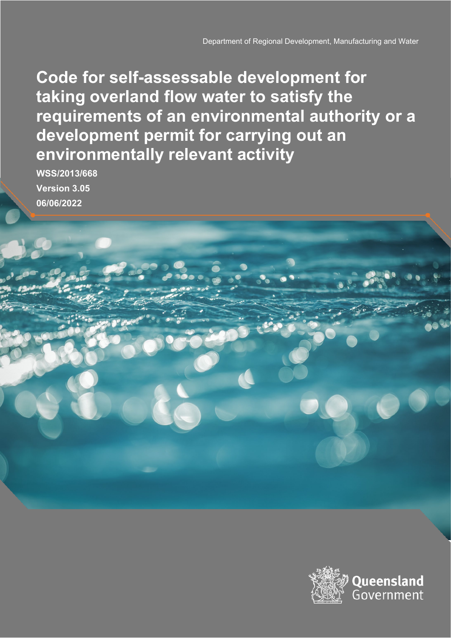**WSS/2013/668 Version 3.05 06/06/2022**

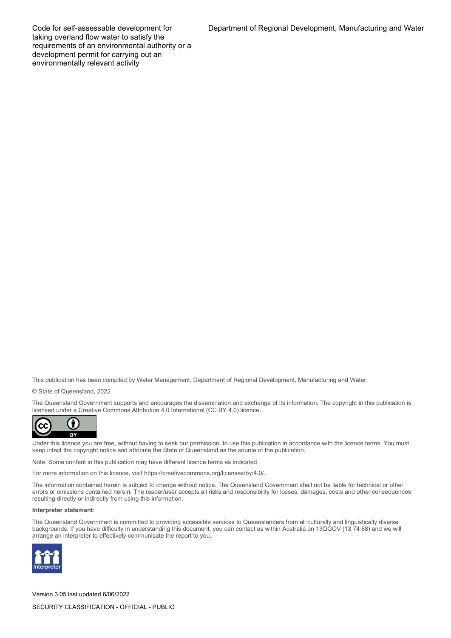Department of Regional Development, Manufacturing and Water

Code for self-assessable development for taking overland flow water to satisfy the requirements of an environmental authority or a development permit for carrying out an environmentally relevant activity

This publication has been compiled by Water Management, Department of Regional Development, Manufacturing and Water.

© State of Queensland, 2022

The Queensland Government supports and encourages the dissemination and exchange of its information. The copyright in this publication is licensed under a Creative Commons Attribution 4.0 International (CC BY 4.0) licence.



Under this licence you are free, without having to seek our permission, to use this publication in accordance with the licence terms. You must keep intact the copyright notice and attribute the State of Queensland as the source of the publication.

Note: Some content in this publication may have different licence terms as indicated.

For more information on this licence, visit https://creativecommons.org/licenses/by/4.0/.

The information contained herein is subject to change without notice. The Queensland Government shall not be liable for technical or other errors or omissions contained herein. The reader/user accepts all risks and responsibility for losses, damages, costs and other consequences resulting directly or indirectly from using this information.

#### **Interpreter statement**:

The Queensland Government is committed to providing accessible services to Queenslanders from all culturally and linguistically diverse backgrounds. If you have difficulty in understanding this document, you can contact us within Australia on 13QGOV (13 74 68) and we will arrange an interpreter to effectively communicate the report to you.



Version 3.05 last updated 6/06/2022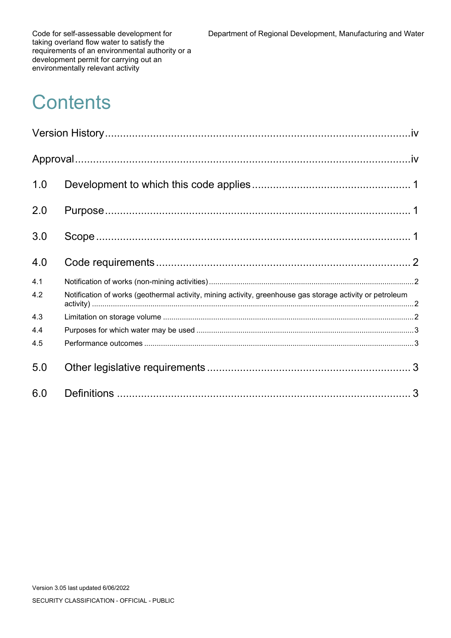# **Contents**

| 1.0 |                                                                                                           |  |
|-----|-----------------------------------------------------------------------------------------------------------|--|
| 2.0 |                                                                                                           |  |
| 3.0 |                                                                                                           |  |
| 4.0 |                                                                                                           |  |
| 4.1 |                                                                                                           |  |
| 4.2 | Notification of works (geothermal activity, mining activity, greenhouse gas storage activity or petroleum |  |
| 4.3 |                                                                                                           |  |
| 4.4 |                                                                                                           |  |
| 4.5 |                                                                                                           |  |
| 5.0 |                                                                                                           |  |
| 6.0 |                                                                                                           |  |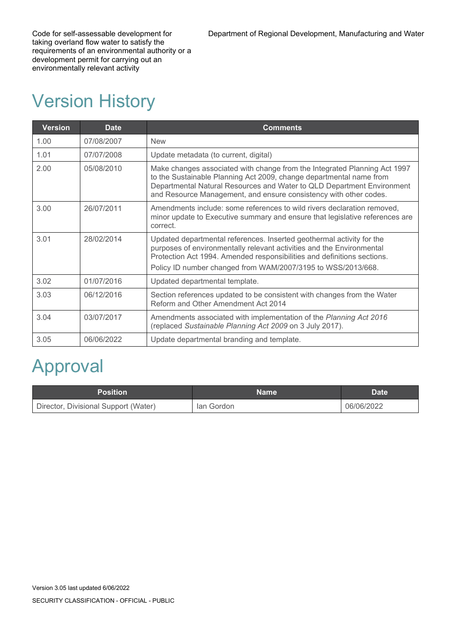## <span id="page-3-0"></span>Version History

| <b>Version</b> | <b>Date</b> | <b>Comments</b>                                                                                                                                                                                                                                                                                 |
|----------------|-------------|-------------------------------------------------------------------------------------------------------------------------------------------------------------------------------------------------------------------------------------------------------------------------------------------------|
| 1.00           | 07/08/2007  | <b>New</b>                                                                                                                                                                                                                                                                                      |
| 1.01           | 07/07/2008  | Update metadata (to current, digital)                                                                                                                                                                                                                                                           |
| 2.00           | 05/08/2010  | Make changes associated with change from the Integrated Planning Act 1997<br>to the Sustainable Planning Act 2009, change departmental name from<br>Departmental Natural Resources and Water to QLD Department Environment<br>and Resource Management, and ensure consistency with other codes. |
| 3.00           | 26/07/2011  | Amendments include: some references to wild rivers declaration removed,<br>minor update to Executive summary and ensure that legislative references are<br>correct.                                                                                                                             |
| 3.01           | 28/02/2014  | Updated departmental references. Inserted geothermal activity for the<br>purposes of environmentally relevant activities and the Environmental<br>Protection Act 1994. Amended responsibilities and definitions sections.<br>Policy ID number changed from WAM/2007/3195 to WSS/2013/668.       |
| 3.02           | 01/07/2016  | Updated departmental template.                                                                                                                                                                                                                                                                  |
| 3.03           | 06/12/2016  | Section references updated to be consistent with changes from the Water<br>Reform and Other Amendment Act 2014                                                                                                                                                                                  |
| 3.04           | 03/07/2017  | Amendments associated with implementation of the Planning Act 2016<br>(replaced Sustainable Planning Act 2009 on 3 July 2017).                                                                                                                                                                  |
| 3.05           | 06/06/2022  | Update departmental branding and template.                                                                                                                                                                                                                                                      |

# <span id="page-3-1"></span>Approval

| <b>Position</b>                      | Name       | Date <sup>1</sup> |
|--------------------------------------|------------|-------------------|
| Director, Divisional Support (Water) | lan Gordon | 06/06/2022        |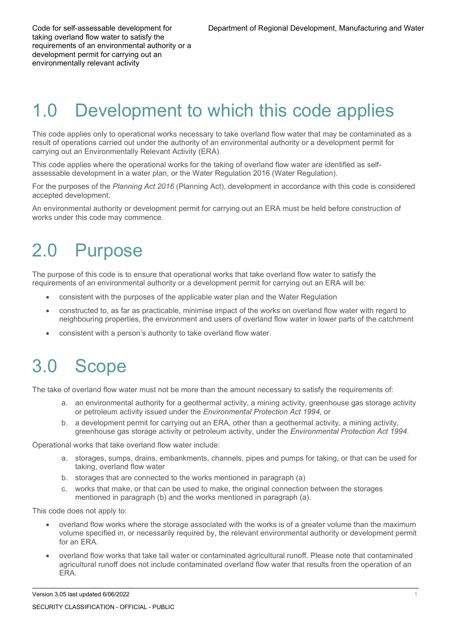## <span id="page-4-0"></span>1.0 Development to which this code applies

This code applies only to operational works necessary to take overland flow water that may be contaminated as a result of operations carried out under the authority of an environmental authority or a development permit for carrying out an Environmentally Relevant Activity (ERA).

This code applies where the operational works for the taking of overland flow water are identified as selfassessable development in a water plan, or the Water Regulation 2016 (Water Regulation).

For the purposes of the *Planning Act 2016* (Planning Act), development in accordance with this code is considered accepted development.

An environmental authority or development permit for carrying out an ERA must be held before construction of works under this code may commence.

# <span id="page-4-1"></span>2.0 Purpose

The purpose of this code is to ensure that operational works that take overland flow water to satisfy the requirements of an environmental authority or a development permit for carrying out an ERA will be:

- consistent with the purposes of the applicable water plan and the Water Regulation
- constructed to, as far as practicable, minimise impact of the works on overland flow water with regard to neighbouring properties, the environment and users of overland flow water in lower parts of the catchment
- consistent with a person's authority to take overland flow water.

## <span id="page-4-2"></span>3.0 Scope

The take of overland flow water must not be more than the amount necessary to satisfy the requirements of:

- a. an environmental authority for a geothermal activity, a mining activity, greenhouse gas storage activity or petroleum activity issued under the *Environmental Protection Act 1994*, or
- b. a development permit for carrying out an ERA, other than a geothermal activity, a mining activity, greenhouse gas storage activity or petroleum activity, under the *Environmental Protection Act 1994*.

Operational works that take overland flow water include:

- a. storages, sumps, drains, embankments, channels, pipes and pumps for taking, or that can be used for taking, overland flow water
- b. storages that are connected to the works mentioned in paragraph (a)
- c. works that make, or that can be used to make, the original connection between the storages mentioned in paragraph (b) and the works mentioned in paragraph (a).

This code does not apply to:

- overland flow works where the storage associated with the works is of a greater volume than the maximum volume specified in, or necessarily required by, the relevant environmental authority or development permit for an ERA.
- overland flow works that take tail water or contaminated agricultural runoff. Please note that contaminated agricultural runoff does not include contaminated overland flow water that results from the operation of an ERA.

Version 3.05 last updated 6/06/2022 2000 1 2000 1 2000 1 2000 1 2000 1 2000 1 2000 1 2000 1 2000 1 2000 1 2000 1 2000 1 2000 1 2000 1 2000 1 2000 1 2000 1 2000 1 2000 1 2000 1 2000 1 2000 1 2000 1 2000 1 2000 1 2000 1 2000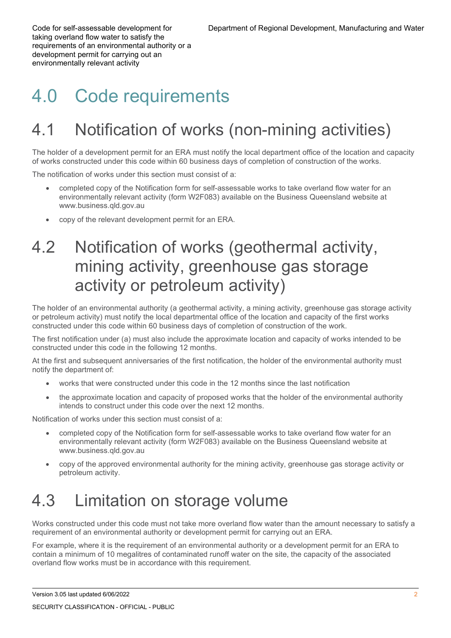# <span id="page-5-0"></span>4.0 Code requirements

## <span id="page-5-1"></span>4.1 Notification of works (non-mining activities)

The holder of a development permit for an ERA must notify the local department office of the location and capacity of works constructed under this code within 60 business days of completion of construction of the works.

The notification of works under this section must consist of a:

- completed copy of the Notification form for self-assessable works to take overland flow water for an environmentally relevant activity (form W2F083) available on the Business Queensland website at [www.business.qld.gov.au](http://www.business.qld.gov.au/)
- copy of the relevant development permit for an ERA.

#### <span id="page-5-2"></span>4.2 Notification of works (geothermal activity, mining activity, greenhouse gas storage activity or petroleum activity)

The holder of an environmental authority (a geothermal activity, a mining activity, greenhouse gas storage activity or petroleum activity) must notify the local departmental office of the location and capacity of the first works constructed under this code within 60 business days of completion of construction of the work.

The first notification under (a) must also include the approximate location and capacity of works intended to be constructed under this code in the following 12 months.

At the first and subsequent anniversaries of the first notification, the holder of the environmental authority must notify the department of:

- works that were constructed under this code in the 12 months since the last notification
- the approximate location and capacity of proposed works that the holder of the environmental authority intends to construct under this code over the next 12 months.

Notification of works under this section must consist of a:

- completed copy of the Notification form for self-assessable works to take overland flow water for an environmentally relevant activity (form W2F083) available on the Business Queensland website at [www.business.qld.gov.au](http://www.business.qld.gov.au/)
- copy of the approved environmental authority for the mining activity, greenhouse gas storage activity or petroleum activity.

#### <span id="page-5-3"></span>4.3 Limitation on storage volume

Works constructed under this code must not take more overland flow water than the amount necessary to satisfy a requirement of an environmental authority or development permit for carrying out an ERA.

For example, where it is the requirement of an environmental authority or a development permit for an ERA to contain a minimum of 10 megalitres of contaminated runoff water on the site, the capacity of the associated overland flow works must be in accordance with this requirement.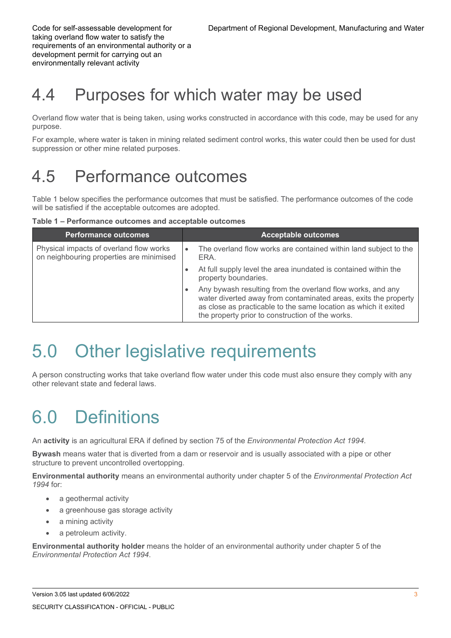### <span id="page-6-0"></span>4.4 Purposes for which water may be used

Overland flow water that is being taken, using works constructed in accordance with this code, may be used for any purpose.

For example, where water is taken in mining related sediment control works, this water could then be used for dust suppression or other mine related purposes.

### <span id="page-6-1"></span>4.5 Performance outcomes

Table 1 below specifies the performance outcomes that must be satisfied. The performance outcomes of the code will be satisfied if the acceptable outcomes are adopted.

**Table 1 – Performance outcomes and acceptable outcomes**

| <b>Performance outcomes</b>                                                         |           | <b>Acceptable outcomes</b>                                                                                                                                                                                                                           |
|-------------------------------------------------------------------------------------|-----------|------------------------------------------------------------------------------------------------------------------------------------------------------------------------------------------------------------------------------------------------------|
| Physical impacts of overland flow works<br>on neighbouring properties are minimised | $\bullet$ | The overland flow works are contained within land subject to the<br>ERA.                                                                                                                                                                             |
|                                                                                     |           | At full supply level the area inundated is contained within the<br>property boundaries.                                                                                                                                                              |
|                                                                                     |           | Any bywash resulting from the overland flow works, and any<br>water diverted away from contaminated areas, exits the property<br>as close as practicable to the same location as which it exited<br>the property prior to construction of the works. |

### <span id="page-6-2"></span>5.0 Other legislative requirements

A person constructing works that take overland flow water under this code must also ensure they comply with any other relevant state and federal laws.

# <span id="page-6-3"></span>6.0 Definitions

An **activity** is an agricultural ERA if defined by section 75 of the *Environmental Protection Act 1994*.

**Bywash** means water that is diverted from a dam or reservoir and is usually associated with a pipe or other structure to prevent uncontrolled overtopping.

**Environmental authority** means an environmental authority under chapter 5 of the *Environmental Protection Act 1994* for:

- a geothermal activity
- a greenhouse gas storage activity
- a mining activity
- a petroleum activity.

**Environmental authority holder** means the holder of an environmental authority under chapter 5 of the *Environmental Protection Act 1994*.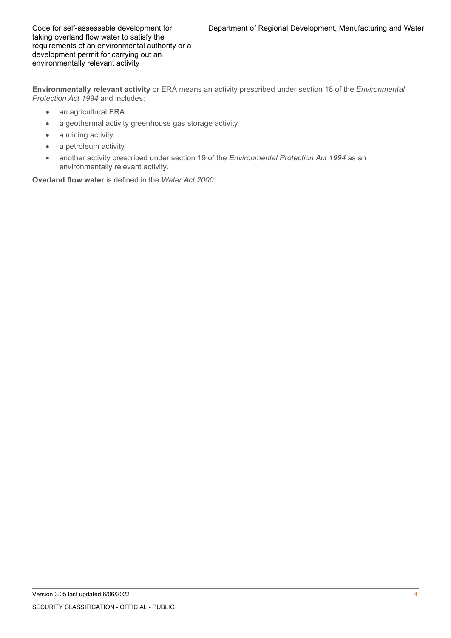**Environmentally relevant activity** or ERA means an activity prescribed under section 18 of the *Environmental Protection Act 1994* and includes:

- an agricultural ERA
- a geothermal activity greenhouse gas storage activity
- a mining activity
- a petroleum activity
- another activity prescribed under section 19 of the *Environmental Protection Act 1994* as an environmentally relevant activity.

**Overland flow water** is defined in the *Water Act 2000*.